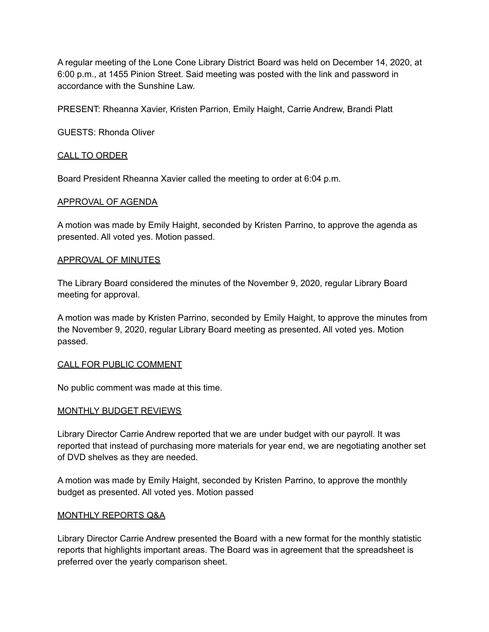A regular meeting of the Lone Cone Library District Board was held on December 14, 2020, at 6:00 p.m., at 1455 Pinion Street. Said meeting was posted with the link and password in accordance with the Sunshine Law.

PRESENT: Rheanna Xavier, Kristen Parrion, Emily Haight, Carrie Andrew, Brandi Platt

GUESTS: Rhonda Oliver

# CALL TO ORDER

Board President Rheanna Xavier called the meeting to order at 6:04 p.m.

### APPROVAL OF AGENDA

A motion was made by Emily Haight, seconded by Kristen Parrino, to approve the agenda as presented. All voted yes. Motion passed.

### APPROVAL OF MINUTES

The Library Board considered the minutes of the November 9, 2020, regular Library Board meeting for approval.

A motion was made by Kristen Parrino, seconded by Emily Haight, to approve the minutes from the November 9, 2020, regular Library Board meeting as presented. All voted yes. Motion passed.

### CALL FOR PUBLIC COMMENT

No public comment was made at this time.

### MONTHLY BUDGET REVIEWS

Library Director Carrie Andrew reported that we are under budget with our payroll. It was reported that instead of purchasing more materials for year end, we are negotiating another set of DVD shelves as they are needed.

A motion was made by Emily Haight, seconded by Kristen Parrino, to approve the monthly budget as presented. All voted yes. Motion passed

### MONTHLY REPORTS Q&A

Library Director Carrie Andrew presented the Board with a new format for the monthly statistic reports that highlights important areas. The Board was in agreement that the spreadsheet is preferred over the yearly comparison sheet.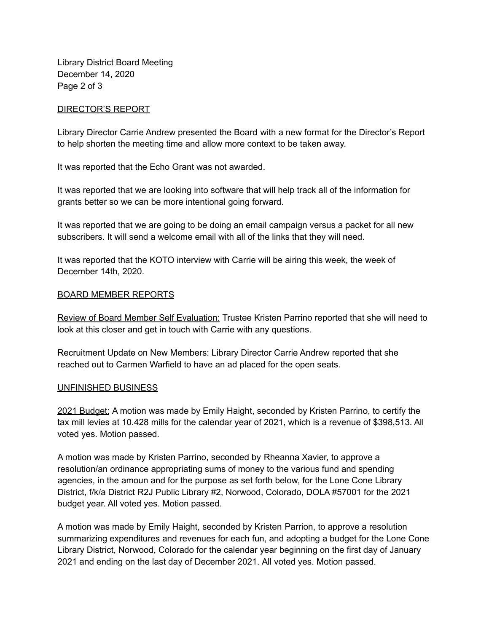Library District Board Meeting December 14, 2020 Page 2 of 3

# DIRECTOR'S REPORT

Library Director Carrie Andrew presented the Board with a new format for the Director's Report to help shorten the meeting time and allow more context to be taken away.

It was reported that the Echo Grant was not awarded.

It was reported that we are looking into software that will help track all of the information for grants better so we can be more intentional going forward.

It was reported that we are going to be doing an email campaign versus a packet for all new subscribers. It will send a welcome email with all of the links that they will need.

It was reported that the KOTO interview with Carrie will be airing this week, the week of December 14th, 2020.

### BOARD MEMBER REPORTS

Review of Board Member Self Evaluation: Trustee Kristen Parrino reported that she will need to look at this closer and get in touch with Carrie with any questions.

Recruitment Update on New Members: Library Director Carrie Andrew reported that she reached out to Carmen Warfield to have an ad placed for the open seats.

### UNFINISHED BUSINESS

2021 Budget: A motion was made by Emily Haight, seconded by Kristen Parrino, to certify the tax mill levies at 10.428 mills for the calendar year of 2021, which is a revenue of \$398,513. All voted yes. Motion passed.

A motion was made by Kristen Parrino, seconded by Rheanna Xavier, to approve a resolution/an ordinance appropriating sums of money to the various fund and spending agencies, in the amoun and for the purpose as set forth below, for the Lone Cone Library District, f/k/a District R2J Public Library #2, Norwood, Colorado, DOLA #57001 for the 2021 budget year. All voted yes. Motion passed.

A motion was made by Emily Haight, seconded by Kristen Parrion, to approve a resolution summarizing expenditures and revenues for each fun, and adopting a budget for the Lone Cone Library District, Norwood, Colorado for the calendar year beginning on the first day of January 2021 and ending on the last day of December 2021. All voted yes. Motion passed.